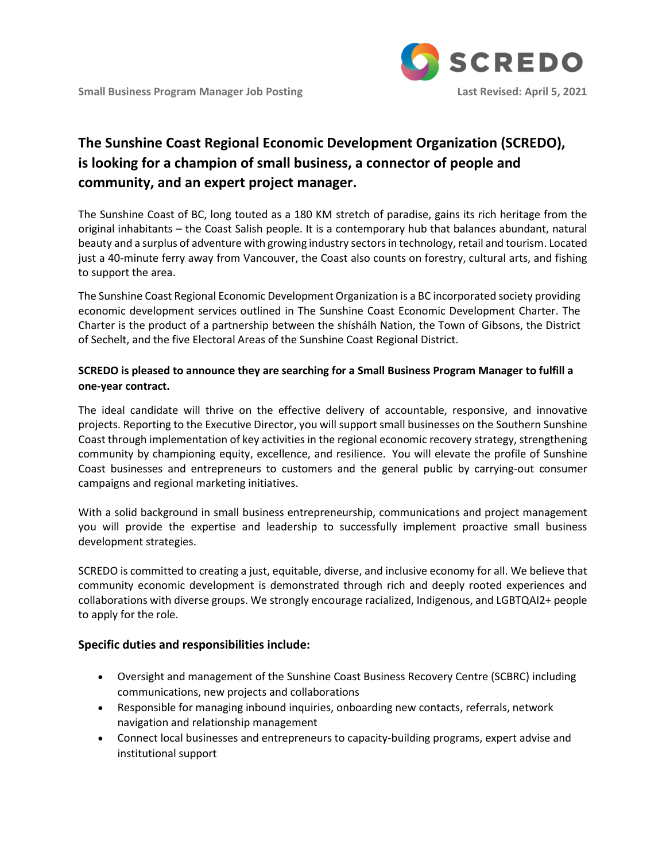

## **The Sunshine Coast Regional Economic Development Organization (SCREDO), is looking for a champion of small business, a connector of people and community, and an expert project manager.**

The Sunshine Coast of BC, long touted as a 180 KM stretch of paradise, gains its rich heritage from the original inhabitants – the Coast Salish people. It is a contemporary hub that balances abundant, natural beauty and a surplus of adventure with growing industry sectors in technology, retail and tourism. Located just a 40-minute ferry away from Vancouver, the Coast also counts on forestry, cultural arts, and fishing to support the area.

The Sunshine Coast Regional Economic Development Organization is a BC incorporated society providing economic development services outlined in The Sunshine Coast Economic Development Charter. The Charter is the product of a partnership between the shíshálh Nation, the Town of Gibsons, the District of Sechelt, and the five Electoral Areas of the Sunshine Coast Regional District.

## **SCREDO is pleased to announce they are searching for a Small Business Program Manager to fulfill a one-year contract.**

The ideal candidate will thrive on the effective delivery of accountable, responsive, and innovative projects. Reporting to the Executive Director, you will support small businesses on the Southern Sunshine Coast through implementation of key activities in the regional economic recovery strategy, strengthening community by championing equity, excellence, and resilience. You will elevate the profile of Sunshine Coast businesses and entrepreneurs to customers and the general public by carrying-out consumer campaigns and regional marketing initiatives.

With a solid background in small business entrepreneurship, communications and project management you will provide the expertise and leadership to successfully implement proactive small business development strategies.

SCREDO is committed to creating a just, equitable, diverse, and inclusive economy for all. We believe that community economic development is demonstrated through rich and deeply rooted experiences and collaborations with diverse groups. We strongly encourage racialized, Indigenous, and LGBTQAI2+ people to apply for the role.

## **Specific duties and responsibilities include:**

- Oversight and management of the Sunshine Coast Business Recovery Centre (SCBRC) including communications, new projects and collaborations
- Responsible for managing inbound inquiries, onboarding new contacts, referrals, network navigation and relationship management
- Connect local businesses and entrepreneurs to capacity-building programs, expert advise and institutional support